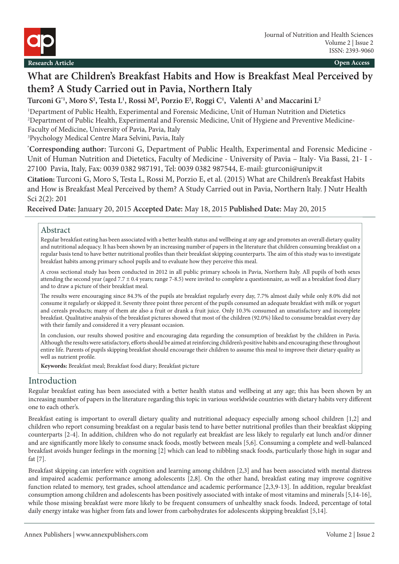

# **What are Children's Breakfast Habits and How is Breakfast Meal Perceived by them? A Study Carried out in Pavia, Northern Italy**

**Turconi G\*1, Moro S2 , Testa L1 , Rossi M2 , Porzio E2 , Roggi C1 , Valenti A3 and Maccarini L2**

1 Department of Public Health, Experimental and Forensic Medicine, Unit of Human Nutrition and Dietetics 2 Department of Public Health, Experimental and Forensic Medicine, Unit of Hygiene and Preventive Medicine-Faculty of Medicine, University of Pavia, Pavia, Italy

3 Psychology Medical Centre Mara Selvini, Pavia, Italy

**\* Corresponding author:** Turconi G, Department of Public Health, Experimental and Forensic Medicine - Unit of Human Nutrition and Dietetics, Faculty of Medicine - University of Pavia – Italy- Via Bassi, 21- I - 27100 Pavia, Italy, Fax: 0039 0382 987191, Tel: 0039 0382 987544, E-mail: gturconi@unipv.it

**Citation:** Turconi G, Moro S, Testa L, Rossi M, Porzio E, et al. (2015) What are Children's Breakfast Habits and How is Breakfast Meal Perceived by them? A Study Carried out in Pavia, Northern Italy. J Nutr Health Sci 2(2): 201

# **Received Date:** January 20, 2015 **Accepted Date:** May 18, 2015 **Published Date:** May 20, 2015

### Abstract

Regular breakfast eating has been associated with a better health status and wellbeing at any age and promotes an overall dietary quality and nutritional adequacy. It has been shown by an increasing number of papers in the literature that children consuming breakfast on a regular basis tend to have better nutritional profiles than their breakfast skipping counterparts. The aim of this study was to investigate breakfast habits among primary school pupils and to evaluate how they perceive this meal.

A cross sectional study has been conducted in 2012 in all public primary schools in Pavia, Northern Italy. All pupils of both sexes attending the second year (aged 7.7 ± 0.4 years; range 7-8.5) were invited to complete a questionnaire, as well as a breakfast food diary and to draw a picture of their breakfast meal.

The results were encouraging since 84.3% of the pupils ate breakfast regularly every day, 7.7% almost daily while only 8.0% did not consume it regularly or skipped it. Seventy three point three percent of the pupils consumed an adequate breakfast with milk or yogurt and cereals products; many of them ate also a fruit or drank a fruit juice. Only 10.3% consumed an unsatisfactory and incomplete breakfast. Qualitative analysis of the breakfast pictures showed that most of the children (92.0%) liked to consume breakfast every day with their family and considered it a very pleasant occasion.

In conclusion, our results showed positive and encouraging data regarding the consumption of breakfast by the children in Pavia. Although the results were satisfactory, efforts should be aimed at reinforcing children's positive habits and encouraging these throughout entire life. Parents of pupils skipping breakfast should encourage their children to assume this meal to improve their dietary quality as well as nutrient profile.

**Keywords:** Breakfast meal; Breakfast food diary; Breakfast picture

# Introduction

Regular breakfast eating has been associated with a better health status and wellbeing at any age; this has been shown by an increasing number of papers in the literature regarding this topic in various worldwide countries with dietary habits very different one to each other's.

Breakfast eating is important to overall dietary quality and nutritional adequacy especially among school children [1,2] and children who report consuming breakfast on a regular basis tend to have better nutritional profiles than their breakfast skipping counterparts [2-4]. In addition, children who do not regularly eat breakfast are less likely to regularly eat lunch and/or dinner and are significantly more likely to consume snack foods, mostly between meals [5,6]. Consuming a complete and well-balanced breakfast avoids hunger feelings in the morning [2] which can lead to nibbling snack foods, particularly those high in sugar and fat [7].

Breakfast skipping can interfere with cognition and learning among children [2,3] and has been associated with mental distress and impaired academic performance among adolescents [2,8]. On the other hand, breakfast eating may improve cognitive function related to memory, test grades, school attendance and academic performance [2,3,9-13]. In addition, regular breakfast consumption among children and adolescents has been positively associated with intake of most vitamins and minerals [5,14-16], while those missing breakfast were more likely to be frequent consumers of unhealthy snack foods. Indeed, percentage of total daily energy intake was higher from fats and lower from carbohydrates for adolescents skipping breakfast [5,14].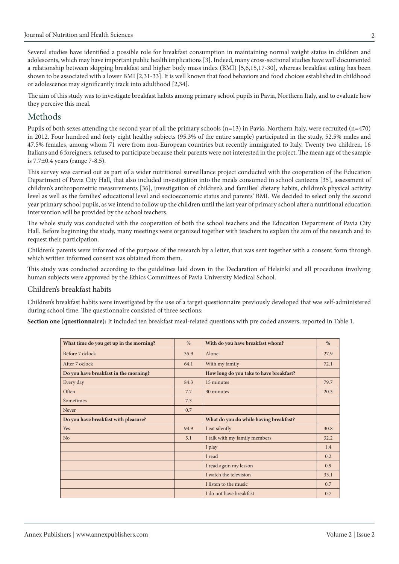Several studies have identified a possible role for breakfast consumption in maintaining normal weight status in children and adolescents, which may have important public health implications [3]. Indeed, many cross-sectional studies have well documented a relationship between skipping breakfast and higher body mass index (BMI) [5,6,15,17-30], whereas breakfast eating has been shown to be associated with a lower BMI [2,31-33]. It is well known that food behaviors and food choices established in childhood or adolescence may significantly track into adulthood [2,34].

The aim of this study was to investigate breakfast habits among primary school pupils in Pavia, Northern Italy, and to evaluate how they perceive this meal.

# Methods

Pupils of both sexes attending the second year of all the primary schools (n=13) in Pavia, Northern Italy, were recruited (n=470) in 2012. Four hundred and forty eight healthy subjects (95.3% of the entire sample) participated in the study, 52.5% males and 47.5% females, among whom 71 were from non-European countries but recently immigrated to Italy. Twenty two children, 16 Italians and 6 foreigners, refused to participate because their parents were not interested in the project. The mean age of the sample is 7.7±0.4 years (range 7-8.5).

This survey was carried out as part of a wider nutritional surveillance project conducted with the cooperation of the Education Department of Pavia City Hall, that also included investigation into the meals consumed in school canteens [35], assessment of children's anthropometric measurements [36], investigation of children's and families' dietary habits, children's physical activity level as well as the families' educational level and socioeconomic status and parents' BMI. We decided to select only the second year primary school pupils, as we intend to follow up the children until the last year of primary school after a nutritional education intervention will be provided by the school teachers.

The whole study was conducted with the cooperation of both the school teachers and the Education Department of Pavia City Hall. Before beginning the study, many meetings were organized together with teachers to explain the aim of the research and to request their participation.

Children's parents were informed of the purpose of the research by a letter, that was sent together with a consent form through which written informed consent was obtained from them.

This study was conducted according to the guidelines laid down in the Declaration of Helsinki and all procedures involving human subjects were approved by the Ethics Committees of Pavia University Medical School.

# Children's breakfast habits

Children's breakfast habits were investigated by the use of a target questionnaire previously developed that was self-administered during school time. The questionnaire consisted of three sections:

**Section one (questionnaire):** It included ten breakfast meal-related questions with pre coded answers, reported in Table 1.

| What time do you get up in the morning? | %    | With do you have breakfast whom?        | %    |
|-----------------------------------------|------|-----------------------------------------|------|
| Before 7 o'clock                        | 35.9 | Alone                                   | 27.9 |
| After 7 o'clock                         | 64.1 | With my family                          | 72.1 |
| Do you have breakfast in the morning?   |      | How long do you take to have breakfast? |      |
| Every day                               | 84.3 | 15 minutes                              | 79.7 |
| Often                                   | 7.7  | 30 minutes                              | 20.3 |
| Sometimes                               | 7.3  |                                         |      |
| Never                                   | 0.7  |                                         |      |
| Do you have breakfast with pleasure?    |      | What do you do while having breakfast?  |      |
| Yes                                     | 94.9 | I eat silently                          | 30.8 |
| N <sub>o</sub>                          | 5.1  | I talk with my family members           | 32.2 |
|                                         |      | I play                                  | 1.4  |
|                                         |      | I read                                  | 0.2  |
|                                         |      | I read again my lesson                  | 0.9  |
|                                         |      | I watch the television                  | 33.1 |
|                                         |      | I listen to the music                   | 0.7  |
|                                         |      | I do not have breakfast                 | 0.7  |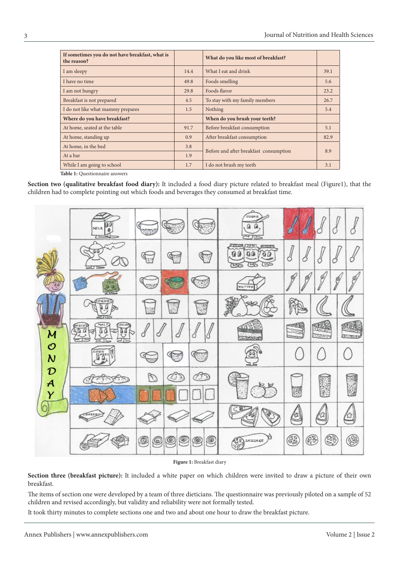| If sometimes you do not have breakfast, what is<br>the reason? |      | What do you like most of breakfast?    |      |
|----------------------------------------------------------------|------|----------------------------------------|------|
| I am sleepy                                                    | 14.4 | What I eat and drink                   | 39.1 |
| I have no time                                                 | 49.8 | Foods smelling                         | 5.6  |
| I am not hungry                                                | 29.8 | Foods flavor                           | 23.2 |
| Breakfast is not prepared                                      | 4.5  | To stay with my family members         | 26.7 |
| I do not like what mammy prepares                              | 1.5  | Nothing                                | 5.4  |
| Where do you have breakfast?                                   |      | When do you brush your teeth?          |      |
| At home, seated at the table                                   | 91.7 | Before breakfast consumption           | 5.1  |
| At home, standing up                                           | 0.9  | After breakfast consumption            | 82.9 |
| At home, in the bed                                            | 3.8  | Before and after breakfast consumption | 8.9  |
| At a bar                                                       | 1.9  |                                        |      |
| While I am going to school                                     | 1.7  | I do not brush my teeth                | 3.1  |

**Table 1:** Questionnaire answers

**Section two (qualitative breakfast food diary):** It included a food diary picture related to breakfast meal (Figure1), that the children had to complete pointing out which foods and beverages they consumed at breakfast time.



#### **Figure 1:** Breakfast diary

**Section three (breakfast picture):** It included a white paper on which children were invited to draw a picture of their own breakfast.

The items of section one were developed by a team of three dieticians. The questionnaire was previously piloted on a sample of 52 children and revised accordingly, but validity and reliability were not formally tested.

It took thirty minutes to complete sections one and two and about one hour to draw the breakfast picture.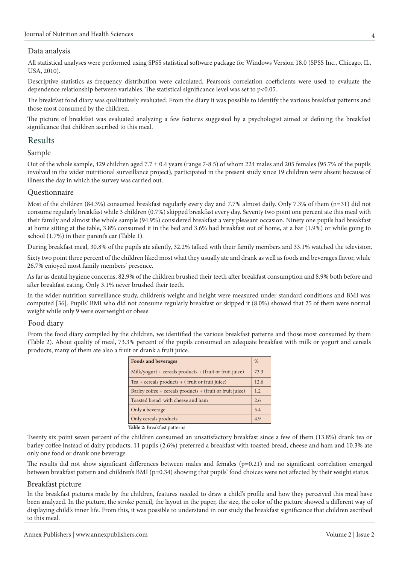#### Data analysis

All statistical analyses were performed using SPSS statistical software package for Windows Version 18.0 (SPSS Inc., Chicago, IL, USA, 2010).

Descriptive statistics as frequency distribution were calculated. Pearson's correlation coefficients were used to evaluate the dependence relationship between variables. The statistical significance level was set to p<0.05.

The breakfast food diary was qualitatively evaluated. From the diary it was possible to identify the various breakfast patterns and those most consumed by the children.

The picture of breakfast was evaluated analyzing a few features suggested by a psychologist aimed at defining the breakfast significance that children ascribed to this meal.

# Results

#### Sample

Out of the whole sample, 429 children aged 7.7 ± 0.4 years (range 7-8.5) of whom 224 males and 205 females (95.7% of the pupils involved in the wider nutritional surveillance project), participated in the present study since 19 children were absent because of illness the day in which the survey was carried out.

#### Questionnaire

Most of the children (84.3%) consumed breakfast regularly every day and 7.7% almost daily. Only 7.3% of them (n=31) did not consume regularly breakfast while 3 children (0.7%) skipped breakfast every day. Seventy two point one percent ate this meal with their family and almost the whole sample (94.9%) considered breakfast a very pleasant occasion. Ninety one pupils had breakfast at home sitting at the table, 3.8% consumed it in the bed and 3.6% had breakfast out of home, at a bar (1.9%) or while going to school (1.7%) in their parent's car (Table 1).

During breakfast meal, 30.8% of the pupils ate silently, 32.2% talked with their family members and 33.1% watched the television.

Sixty two point three percent of the children liked most what they usually ate and drank as well as foods and beverages flavor, while 26.7% enjoyed most family members' presence.

As far as dental hygiene concerns, 82.9% of the children brushed their teeth after breakfast consumption and 8.9% both before and after breakfast eating. Only 3.1% never brushed their teeth.

In the wider nutrition surveillance study, children's weight and height were measured under standard conditions and BMI was computed [36]. Pupils' BMI who did not consume regularly breakfast or skipped it (8.0%) showed that 25 of them were normal weight while only 9 were overweight or obese.

# Food diary

From the food diary compiled by the children, we identified the various breakfast patterns and those most consumed by them (Table 2). About quality of meal, 73.3% percent of the pupils consumed an adequate breakfast with milk or yogurt and cereals products; many of them ate also a fruit or drank a fruit juice.

| <b>Foods and beverages</b>                                |  |
|-----------------------------------------------------------|--|
| Milk/yogurt + cereals products + (fruit or fruit juice)   |  |
| Tea + cereals products + $($ fruit or fruit juice $)$     |  |
| Barley coffee + cereals products + (fruit or fruit juice) |  |
| Toasted bread with cheese and ham                         |  |
| Only a beverage                                           |  |
| Only cereals products                                     |  |

**Table 2:** Breakfast patterns

Twenty six point seven percent of the children consumed an unsatisfactory breakfast since a few of them (13.8%) drank tea or barley coffee instead of dairy products, 11 pupils (2.6%) preferred a breakfast with toasted bread, cheese and ham and 10.3% ate only one food or drank one beverage.

The results did not show significant differences between males and females  $(p=0.21)$  and no significant correlation emerged between breakfast pattern and children's BMI (p=0.34) showing that pupils' food choices were not affected by their weight status.

# Breakfast picture

In the breakfast pictures made by the children, features needed to draw a child's profile and how they perceived this meal have been analyzed. In the picture, the stroke pencil, the layout in the paper, the size, the color of the picture showed a different way of displaying child's inner life. From this, it was possible to understand in our study the breakfast significance that children ascribed to this meal.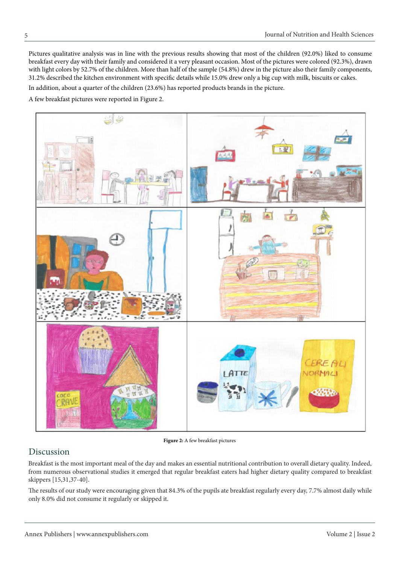Pictures qualitative analysis was in line with the previous results showing that most of the children (92.0%) liked to consume breakfast every day with their family and considered it a very pleasant occasion. Most of the pictures were colored (92.3%), drawn with light colors by 52.7% of the children. More than half of the sample (54.8%) drew in the picture also their family components, 31.2% described the kitchen environment with specific details while 15.0% drew only a big cup with milk, biscuits or cakes.

In addition, about a quarter of the children (23.6%) has reported products brands in the picture.

A few breakfast pictures were reported in Figure 2.



**Figure 2:** A few breakfast pictures

# Discussion

Breakfast is the most important meal of the day and makes an essential nutritional contribution to overall dietary quality. Indeed, from numerous observational studies it emerged that regular breakfast eaters had higher dietary quality compared to breakfast skippers [15,31,37-40].

The results of our study were encouraging given that 84.3% of the pupils ate breakfast regularly every day, 7.7% almost daily while only 8.0% did not consume it regularly or skipped it.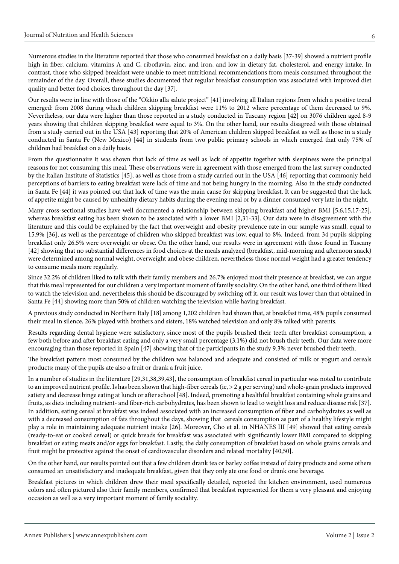Numerous studies in the literature reported that those who consumed breakfast on a daily basis [37-39] showed a nutrient profile high in fiber, calcium, vitamins A and C, riboflavin, zinc, and iron, and low in dietary fat, cholesterol, and energy intake. In contrast, those who skipped breakfast were unable to meet nutritional recommendations from meals consumed throughout the remainder of the day. Overall, these studies documented that regular breakfast consumption was associated with improved diet quality and better food choices throughout the day [37].

Our results were in line with those of the "Okkio alla salute project" [41] involving all Italian regions from which a positive trend emerged: from 2008 during which children skipping breakfast were 11% to 2012 where percentage of them decreased to 9%. Nevertheless, our data were higher than those reported in a study conducted in Tuscany region [42] on 3076 children aged 8-9 years showing that children skipping breakfast were equal to 3%. On the other hand, our results disagreed with those obtained from a study carried out in the USA [43] reporting that 20% of American children skipped breakfast as well as those in a study conducted in Santa Fe (New Mexico) [44] in students from two public primary schools in which emerged that only 75% of children had breakfast on a daily basis.

From the questionnaire it was shown that lack of time as well as lack of appetite together with sleepiness were the principal reasons for not consuming this meal. These observations were in agreement with those emerged from the last survey conducted by the Italian Institute of Statistics [45], as well as those from a study carried out in the USA [46] reporting that commonly held perceptions of barriers to eating breakfast were lack of time and not being hungry in the morning. Also in the study conducted in Santa Fe [44] it was pointed out that lack of time was the main cause for skipping breakfast. It can be suggested that the lack of appetite might be caused by unhealthy dietary habits during the evening meal or by a dinner consumed very late in the night.

Many cross-sectional studies have well documented a relationship between skipping breakfast and higher BMI [5,6,15,17-25], whereas breakfast eating has been shown to be associated with a lower BMI [2,31-33]. Our data were in disagreement with the literature and this could be explained by the fact that overweight and obesity prevalence rate in our sample was small, equal to 15.9% [36], as well as the percentage of children who skipped breakfast was low, equal to 8%. Indeed, from 34 pupils skipping breakfast only 26.5% were overweight or obese. On the other hand, our results were in agreement with those found in Tuscany [42] showing that no substantial differences in food choices at the meals analyzed (breakfast, mid-morning and afternoon snack) were determined among normal weight, overweight and obese children, nevertheless those normal weight had a greater tendency to consume meals more regularly.

Since 32.2% of children liked to talk with their family members and 26.7% enjoyed most their presence at breakfast, we can argue that this meal represented for our children a very important moment of family sociality. On the other hand, one third of them liked to watch the television and, nevertheless this should be discouraged by switching off it, our result was lower than that obtained in Santa Fe [44] showing more than 50% of children watching the television while having breakfast.

A previous study conducted in Northern Italy [18] among 1,202 children had shown that, at breakfast time, 48% pupils consumed their meal in silence, 26% played with brothers and sisters, 18% watched television and only 8% talked with parents.

Results regarding dental hygiene were satisfactory, since most of the pupils brushed their teeth after breakfast consumption, a few both before and after breakfast eating and only a very small percentage (3.1%) did not brush their teeth. Our data were more encouraging than those reported in Spain [47] showing that of the participants in the study 9.3% never brushed their teeth.

The breakfast pattern most consumed by the children was balanced and adequate and consisted of milk or yogurt and cereals products; many of the pupils ate also a fruit or drank a fruit juice.

In a number of studies in the literature [29,31,38,39,43], the consumption of breakfast cereal in particular was noted to contribute to an improved nutrient profile. Is has been shown that high-fiber cereals (ie, > 2 g per serving) and whole-grain products improved satiety and decrease binge eating at lunch or after school [48]. Indeed, promoting a healthful breakfast containing whole grains and fruits, as diets including nutrient- and fiber-rich carbohydrates, has been shown to lead to weight loss and reduce disease risk [37]. In addition, eating cereal at breakfast was indeed associated with an increased consumption of fiber and carbohydrates as well as with a decreased consumption of fats throughout the days, showing that cereals consumption as part of a healthy lifestyle might play a role in maintaining adequate nutrient intake [26]. Moreover, Cho et al. in NHANES III [49] showed that eating cereals (ready-to-eat or cooked cereal) or quick breads for breakfast was associated with significantly lower BMI compared to skipping breakfast or eating meats and/or eggs for breakfast. Lastly, the daily consumption of breakfast based on whole grains cereals and fruit might be protective against the onset of cardiovascular disorders and related mortality [40,50].

On the other hand, our results pointed out that a few children drank tea or barley coffee instead of dairy products and some others consumed an unsatisfactory and inadequate breakfast, given that they only ate one food or drank one beverage.

Breakfast pictures in which children drew their meal specifically detailed, reported the kitchen environment, used numerous colors and often pictured also their family members, confirmed that breakfast represented for them a very pleasant and enjoying occasion as well as a very important moment of family sociality.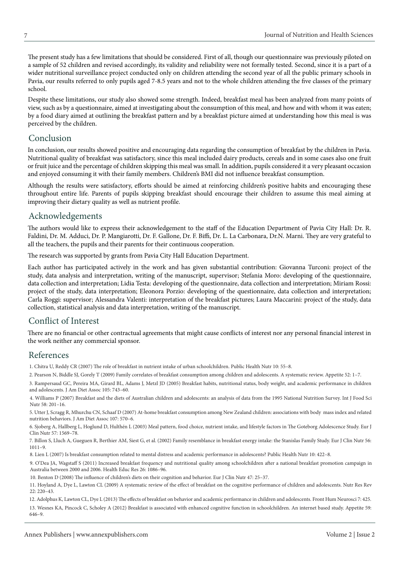The present study has a few limitations that should be considered. First of all, though our questionnaire was previously piloted on a sample of 52 children and revised accordingly, its validity and reliability were not formally tested. Second, since it is a part of a wider nutritional surveillance project conducted only on children attending the second year of all the public primary schools in Pavia, our results referred to only pupils aged 7-8.5 years and not to the whole children attending the five classes of the primary school.

Despite these limitations, our study also showed some strength. Indeed, breakfast meal has been analyzed from many points of view, such as by a questionnaire, aimed at investigating about the consumption of this meal, and how and with whom it was eaten; by a food diary aimed at outlining the breakfast pattern and by a breakfast picture aimed at understanding how this meal is was perceived by the children.

# Conclusion

In conclusion, our results showed positive and encouraging data regarding the consumption of breakfast by the children in Pavia. Nutritional quality of breakfast was satisfactory, since this meal included dairy products, cereals and in some cases also one fruit or fruit juice and the percentage of children skipping this meal was small. In addition, pupils considered it a very pleasant occasion and enjoyed consuming it with their family members. Children's BMI did not influence breakfast consumption.

Although the results were satisfactory, efforts should be aimed at reinforcing children's positive habits and encouraging these throughout entire life. Parents of pupils skipping breakfast should encourage their children to assume this meal aiming at improving their dietary quality as well as nutrient profile.

# Acknowledgements

The authors would like to express their acknowledgement to the staff of the Education Department of Pavia City Hall: Dr. R. Faldini, Dr. M. Adduci, Dr. P. Mangiarotti, Dr. F. Gallone, Dr. F. Biffi, Dr. L. La Carbonara, Dr.N. Marni. They are very grateful to all the teachers, the pupils and their parents for their continuous cooperation.

The research was supported by grants from Pavia City Hall Education Department.

Each author has participated actively in the work and has given substantial contribution: Giovanna Turconi: project of the study, data analysis and interpretation, writing of the manuscript, supervisor; Stefania Moro: developing of the questionnaire, data collection and interpretation; Lidia Testa: developing of the questionnaire, data collection and interpretation; Miriam Rossi: project of the study, data interpretation; Eleonora Porzio: developing of the questionnaire, data collection and interpretation; Carla Roggi: supervisor; Alessandra Valenti: interpretation of the breakfast pictures; Laura Maccarini: project of the study, data collection, statistical analysis and data interpretation, writing of the manuscript.

# Conflict of Interest

There are no financial or other contractual agreements that might cause conflicts of interest nor any personal financial interest in the work neither any commercial sponsor.

#### References

[1. Chitra U, Reddy CR \(2007\) The role of breakfast in nutrient intake of urban schoolchildren. Public Health Nutr 10: 55–8.](http://www.ncbi.nlm.nih.gov/pubmed/17212843)

[2. Pearson N, Biddle SJ, Gorely T \(2009\) Family correlates of breakfast consumption among children and adolescents. A systematic review. Appetite 52: 1–7.](http://www.ncbi.nlm.nih.gov/pubmed/18789364)

[3. Rampersaud GC, Pereira MA, Girard BL, Adams J, Metzl JD \(2005\) Breakfast habits, nutritional status, body weight, and academic performance in children](http://www.ncbi.nlm.nih.gov/pubmed/15883552)  and adolescents. J Am Diet Assoc 105: 743–60.

[4. Williams P \(2007\) Breakfast and the diets of Australian children and adolescents: an analysis of data from the 1995 National Nutrition Survey. Int J Food Sci](http://www.ncbi.nlm.nih.gov/pubmed/17514538)  Nutr 58: 201–16.

[5. Utter J, Scragg R, Mhurchu CN, Schaaf D \(2007\) At-home breakfast consumption among New Zealand children: associations with body mass index and related](http://www.ncbi.nlm.nih.gov/pubmed/17383261)  nutrition behaviors. J Am Diet Assoc 107: 570–6.

[6. Sjoberg A, Hallberg L, Hoglund D, Hulthén L \(2003\) Meal pattern, food choice, nutrient intake, and lifestyle factors in The Goteborg Adolescence Study. Eur J](http://www.ncbi.nlm.nih.gov/pubmed/14647222)  Clin Nutr 57: 1569–78.

[7. Billon S, Lluch A, Gueguen R, Berthier AM, Siest G, et al. \(2002\) Family resemblance in breakfast energy intake: the Stanislas Family Study. Eur J Clin Nutr 56:](http://www.ncbi.nlm.nih.gov/pubmed/12373622)  1011–9.

[8. Lien L \(2007\) Is breakfast consumption related to mental distress and academic performance in adolescents? Public Health Nutr 10: 422–8.](http://www.ncbi.nlm.nih.gov/pubmed/17362539)

[9. O'Dea JA, Wagstaff S \(2011\) Increased breakfast frequency and nutritional quality among schoolchildren after a national breakfast promotion campaign in](http://www.ncbi.nlm.nih.gov/pubmed/21685403)  Australia between 2000 and 2006. Health Educ Res 26: 1086–96.

[10. Benton D \(2008\) The influence of children's diets on their cognition and behavior. Eur J Clin Nutr 47: 25–37.](http://www.ncbi.nlm.nih.gov/pubmed/18683027)

[11. Hoyland A, Dye L, Lawton CL \(2009\) A systematic review of the effect of breakfast on the cognitive performance of children and adolescents. Nutr Res Rev](http://www.ncbi.nlm.nih.gov/pubmed/19930787)  22: 220–43.

[12. Adolphus K, Lawton CL, Dye L \(2013\) The effects of breakfast on behavior and academic performance in children and adolescents. Front Hum Neurosci 7: 425.](http://www.ncbi.nlm.nih.gov/pubmed/23964220) [13. Wesnes KA, Pincock C, Scholey A \(2012\) Breakfast is associated with enhanced cognitive function in schoolchildren. An internet based study. Appetite 59:](http://www.ncbi.nlm.nih.gov/pubmed/22902600)  646–9.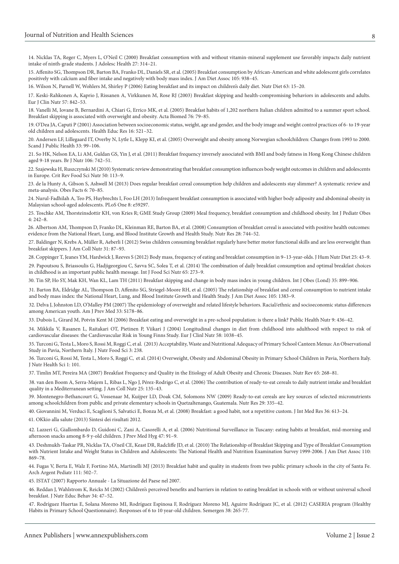[14. Nicklas TA, Reger C, Myers L, O'Neil C \(2000\) Breakfast consumption with and without vitamin-mineral supplement use favorably impacts daily nutrient](http://www.ncbi.nlm.nih.gov/pubmed/11044703)  intake of ninth-grade students. J Adolesc Health 27: 314–21.

[15. Affenito SG, Thompson DR, Barton BA, Franko DL, Daniels SR, et al. \(2005\) Breakfast consumption by African-American and white adolescent girls correlates](http://www.ncbi.nlm.nih.gov/pubmed/15942545)  positively with calcium and fiber intake and negatively with body mass index. J Am Diet Assoc 105: 938–45.

[16. Wilson N, Parnell W, Wohlers M, Shirley P \(2006\) Eating breakfast and its impact on children's daily diet. Nutr Diet 63: 15–20.](http://onlinelibrary.wiley.com/doi/10.1111/j.1747-0080.2006.00019.x/abstract)

[17. Keski-Rahkonen A, Kaprio J, Rissanen A, Virkkunen M, Rose RJ \(2003\) Breakfast skipping and health-compromising behaviors in adolescents and adults.](http://www.ncbi.nlm.nih.gov/pubmed/12821884)  Eur J Clin Nutr 57: 842–53.

[18. Vanelli M, Iovane B, Bernardini A, Chiari G, Errico MK, et al. \(2005\) Breakfast habits of 1,202 northern Italian children admitted to a summer sport school.](http://www.ncbi.nlm.nih.gov/pubmed/16350552)  Breakfast skipping is associated with overweight and obesity. Acta Biomed 76: 79–85.

[19. O'Dea JA, Caputi P \(2001\) Association between socioeconomic status, weight, age and gender, and the body image and weight control practices of 6- to 19-year](http://www.ncbi.nlm.nih.gov/pubmed/11675800)  old children and adolescents. Health Educ Res 16: 521–32.

[20. Andersen LF, Lillegaard IT, Overby N, Lytle L, Klepp KI, et al. \(2005\) Overweight and obesity among Norwegian schoolchildren: Changes from 1993 to 2000.](http://www.ncbi.nlm.nih.gov/pubmed/15823970)  Scand J Public Health 33: 99–106.

[21. So HK, Nelson EA, Li AM, Guldan GS, Yin J, et al. \(2011\) Breakfast frequency inversely associated with BMI and body fatness in Hong Kong Chinese children](http://www.ncbi.nlm.nih.gov/pubmed/21535905)  aged 9-18 years. Br J Nutr 106: 742–51.

[22. Szajewska H, Ruszczynski M \(2010\) Systematic review demonstrating that breakfast consumption influences body weight outcomes in children and adolescents](http://www.ncbi.nlm.nih.gov/pubmed/20112153)  in Europe. Crit Rev Food Sci Nutr 50: 113–9.

[23. de la Hunty A, Gibson S, Ashwell M \(2013\) Does regular breakfast cereal consumption help children and adolescents stay slimmer? A systematic review and](http://www.ncbi.nlm.nih.gov/pubmed/23466487)  meta-analysis. Obes Facts 6: 70–85.

[24. Nurul-Fadhilah A, Teo PS, Huybrechts I, Foo LH \(2013\) Infrequent breakfast consumption is associated with higher body adiposity and abdominal obesity in](http://journals.plos.org/plosone/article?id=10.1371/journal.pone.0059297)  Malaysian school-aged adolescents. PLoS One 8: e59297.

[25. Toschke AM, Thorsteinsdottir KH, von Kries R; GME Study Group \(2009\) Meal frequency, breakfast consumption and childhood obesity. Int J Pediatr Obes](http://www.ncbi.nlm.nih.gov/pubmed/19922038)  4: 242–8.

[26. Albertson AM, Thompson D, Franko DL, Kleinman RE, Barton BA, et al. \(2008\) Consumption of breakfast cereal is associated with positive health outcomes:](http://www.ncbi.nlm.nih.gov/pubmed/19083483)  evidence from the National Heart, Lung, and Blood Institute Growth and Health Study. Nutr Res 28: 744–52.

[27. Baldinger N, Krebs A, Müller R, Aeberli I \(2012\) Swiss children consuming breakfast regularly have better motor functional skills and are less overweight than](http://www.ncbi.nlm.nih.gov/pubmed/22855913)  breakfast skippers. J Am Coll Nutr 31: 87–93.

[28. Coppinger T, Jeanes YM, Hardwick J, Reeves S \(2012\) Body mass, frequency of eating and breakfast consumption in 9–13-year-olds. J Hum Nutr Diet 25: 43–9.](http://www.ncbi.nlm.nih.gov/pubmed/21649747) 

[29. Papoutsou S, Briassoulis G, Hadjigeorgiou C, Savva SC, Solea T, et al. \(2014\) The combination of daily breakfast consumption and optimal breakfast choices](http://www.ncbi.nlm.nih.gov/pubmed/24512299)  in childhood is an important public health message. Int J Food Sci Nutr 65: 273–9.

[30. Tin SP, Ho SY, Mak KH, Wan KL, Lam TH \(2011\) Breakfast skipping and change in body mass index in young children. Int J Obes \(Lond\) 35: 899–906.](http://www.ncbi.nlm.nih.gov/pubmed/21448130) 

[31. Barton BA, Eldridge AL, Thompson D, Affenito SG, Striegel-Moore RH, et al. \(2005\) The relationship of breakfast and cereal consumption to nutrient intake](http://www.ncbi.nlm.nih.gov/pubmed/16129079)  and body mass index: the National Heart, Lung, and Blood Institute Growth and Health Study. J Am Diet Assoc 105: 1383–9.

[32. Delva J, Johnston LD, O'Malley PM \(2007\) The epidemiology of overweight and related lifestyle behaviors. Racial/ethnic and socioeconomic status differences](http://www.ncbi.nlm.nih.gov/pubmed/17884566)  among American youth. Am J Prev Med 33: S178–86.

[33. Dubois L, Girard M, Potvin Kent M \(2006\) Breakfast eating and overweight in a pre-school population: is there a link? Public Health Nutr 9: 436–42.](http://www.ncbi.nlm.nih.gov/pubmed/16870015)

[34. Mikkila V, Rasanen L, Raitakari OT, Pietinen P, Viikari J \(2004\) Longitudinal changes in diet from childhood into adulthood with respect to risk of](http://www.ncbi.nlm.nih.gov/pubmed/15220946)  cardiovascular diseases: the Cardiovascular Risk in Young Finns Study. Eur J Clinl Nutr 58: 1038–45.

[35. Turconi G, Testa L, Moro S, Rossi M, Roggi C, et al. \(2013\) Acceptability, Waste and Nutritional Adequacy of Primary School Canteen Menus: An Observational](http://omicsonline.org/acceptability-waste-and-nutritional-adequacy-of-primary-school-canteen-menus-an-observational-study-in-pavia-northern-italy-2155-9600.1000238.php?aid=20375)  Study in Pavia, Northern Italy. J Nutr Food Sci 3: 238.

[36. Turconi G, Rossi M, Testa L, Moro S, Roggi C, et al. \(2014\) Overweight, Obesity and Abdominal Obesity in Primary School Children in Pavia, Northern Italy.](http://www.annexpublishers.com/full-text/JNH/101/Overweight-obesity-and-abdominal-obesity-in-primary-school-children-in-pavia-northern-italy.php)  J Nutr Health Sci 1: 101.

[37. Timlin MT, Pereira MA \(2007\) Breakfast Frequency and Quality in the Etiology of Adult Obesity and Chronic Diseases. Nutr Rev 65: 268–81.](http://www.ncbi.nlm.nih.gov/pubmed/17605303)

[38. van den Boom A, Serra-Majem L, Ribas L, Ngo J, Pérez-Rodrigo C, et al. \(2006\) The contribution of ready-to-eat cereals to daily nutrient intake and breakfast](http://www.ncbi.nlm.nih.gov/pubmed/16582030)  quality in a Mediterranean setting. J Am Coll Nutr 25: 135–43.

[39. Montenegro-Bethancourt G, Vossenaar M, Kuijper LD, Doak CM, Solomons NW \(2009\) Ready-to-eat cereals are key sources of selected micronutrients](http://www.ncbi.nlm.nih.gov/pubmed/19555815)  among schoolchildren from public and private elementary schools in Quetzaltenango, Guatemala. Nutr Res 29: 335–42.

[40. Giovannini M, Verduci E, Scaglioni S, Salvatici E, Bonza M, et al. \(2008\) Breakfast: a good habit, not a repetitive custom. J Int Med Res 36: 613–24.](http://www.ncbi.nlm.nih.gov/pubmed/18652755)

[41. OKkio alla salute \(2013\) Sintesi dei risultati 2012.](http://www.epicentro.iss.it/okkioallasalute/pdf/OKkio alla SALUTE sintesi 2012_finale.pdf) 

[42. Lazzeri G, Giallombardo D, Guidoni C, Zani A, Casorelli A, et al. \(2006\) Nutritional Surveillance in Tuscany: eating habits at breakfast, mid-morning and](http://www.ncbi.nlm.nih.gov/pubmed/17217185)  afternoon snacks among 8-9 y-old children. J Prev Med Hyg 47: 91–9.

[43. Deshmukh-Taskar PR, Nicklas TA, O'neil CE, Keast DR, Radcliffe JD, et al. \(2010\) The Relationship of Breakfast Skipping and Type of Breakfast Consumption](http://www.ncbi.nlm.nih.gov/pubmed/20497776)  with Nutrient Intake and Weight Status in Children and Adolescents: The National Health and Nutrition Examination Survey 1999-2006. J Am Diet Assoc 110: 869–78.

[44. Fugas V, Berta E, Walz F, Fortino MA, Martinelli MJ \(2013\) Breakfast habit and quality in students from two public primary schools in the city of Santa Fe.](http://www.ncbi.nlm.nih.gov/pubmed/24196763)  Arch Argent Pediatr 111: 502–7.

[45. ISTAT \(2007\) Rapporto Annuale - La Situazione del Paese nel 2007.](http://www3.istat.it/dati/catalogo/20080528_00/rapporto2007.pdf)

[46. Reddan J, Wahlstrom K, Reicks M \(2002\) Children's perceived benefits and barriers in relation to eating breakfast in schools with or without universal school](http://www.ncbi.nlm.nih.gov/pubmed/11917671)  breakfast. J Nutr Educ Behav 34: 47–52.

[47. Rodríguez Huertas E, Solana Moreno MI, Rodríguez Espinosa F, Rodríguez Moreno MJ, Aguirre Rodríguez JC, et al. \(2012\) CASERIA program \(Healthy](http://www.ncbi.nlm.nih.gov/pubmed/23544773)  Habits in Primary School Questionnaire). Responses of 6 to 10 year-old children. Semergen 38: 265-77.